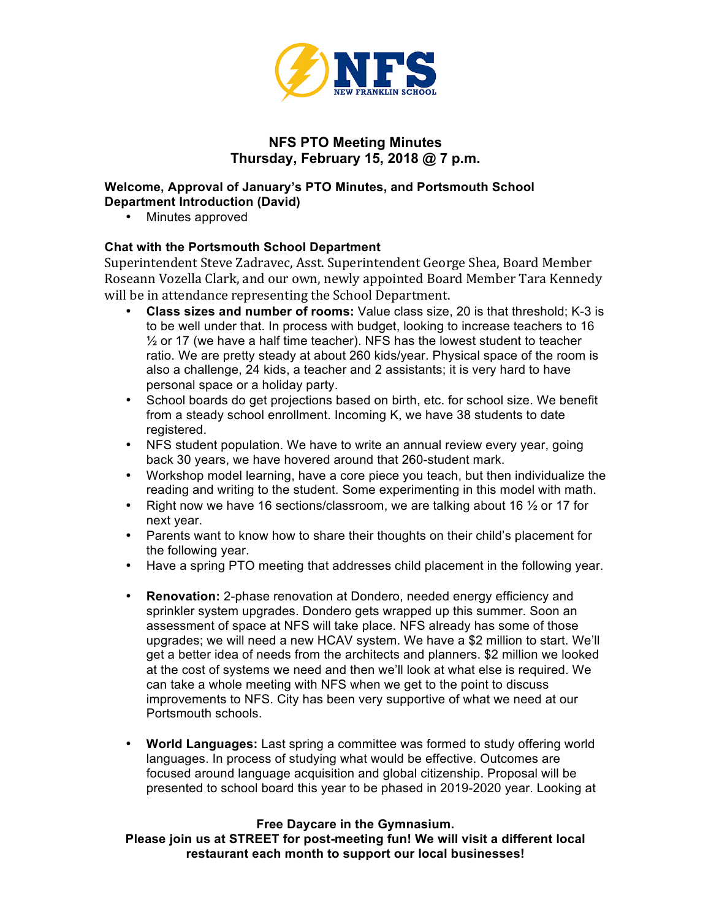

# **NFS PTO Meeting Minutes Thursday, February 15, 2018 @ 7 p.m.**

### **Welcome, Approval of January's PTO Minutes, and Portsmouth School Department Introduction (David)**

• Minutes approved

## **Chat with the Portsmouth School Department**

Superintendent Steve Zadravec, Asst. Superintendent George Shea, Board Member Roseann Vozella Clark, and our own, newly appointed Board Member Tara Kennedy will be in attendance representing the School Department.

- **Class sizes and number of rooms:** Value class size, 20 is that threshold; K-3 is to be well under that. In process with budget, looking to increase teachers to 16  $\frac{1}{2}$  or 17 (we have a half time teacher). NFS has the lowest student to teacher ratio. We are pretty steady at about 260 kids/year. Physical space of the room is also a challenge, 24 kids, a teacher and 2 assistants; it is very hard to have personal space or a holiday party.
- School boards do get projections based on birth, etc. for school size. We benefit from a steady school enrollment. Incoming K, we have 38 students to date registered.
- NFS student population. We have to write an annual review every year, going back 30 years, we have hovered around that 260-student mark.
- Workshop model learning, have a core piece you teach, but then individualize the reading and writing to the student. Some experimenting in this model with math.
- Right now we have 16 sections/classroom, we are talking about 16  $\frac{1}{2}$  or 17 for next year.
- Parents want to know how to share their thoughts on their child's placement for the following year.
- Have a spring PTO meeting that addresses child placement in the following year.
- **Renovation:** 2-phase renovation at Dondero, needed energy efficiency and sprinkler system upgrades. Dondero gets wrapped up this summer. Soon an assessment of space at NFS will take place. NFS already has some of those upgrades; we will need a new HCAV system. We have a \$2 million to start. We'll get a better idea of needs from the architects and planners. \$2 million we looked at the cost of systems we need and then we'll look at what else is required. We can take a whole meeting with NFS when we get to the point to discuss improvements to NFS. City has been very supportive of what we need at our Portsmouth schools.
- **World Languages:** Last spring a committee was formed to study offering world languages. In process of studying what would be effective. Outcomes are focused around language acquisition and global citizenship. Proposal will be presented to school board this year to be phased in 2019-2020 year. Looking at

#### **Free Daycare in the Gymnasium.**

**Please join us at STREET for post-meeting fun! We will visit a different local restaurant each month to support our local businesses!**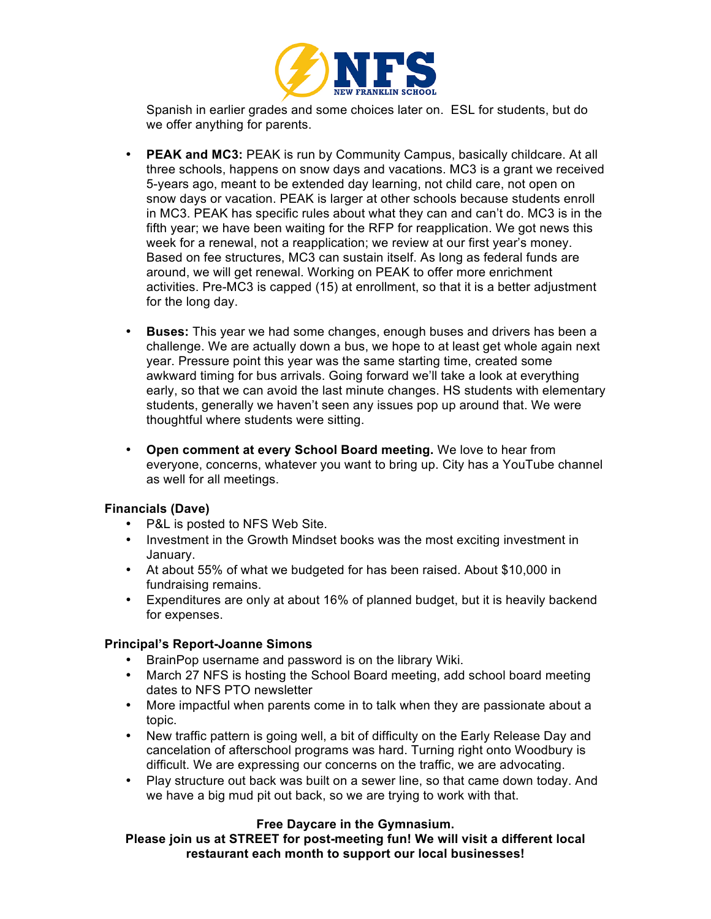

Spanish in earlier grades and some choices later on. ESL for students, but do we offer anything for parents.

- **PEAK and MC3:** PEAK is run by Community Campus, basically childcare. At all three schools, happens on snow days and vacations. MC3 is a grant we received 5-years ago, meant to be extended day learning, not child care, not open on snow days or vacation. PEAK is larger at other schools because students enroll in MC3. PEAK has specific rules about what they can and can't do. MC3 is in the fifth year; we have been waiting for the RFP for reapplication. We got news this week for a renewal, not a reapplication; we review at our first year's money. Based on fee structures, MC3 can sustain itself. As long as federal funds are around, we will get renewal. Working on PEAK to offer more enrichment activities. Pre-MC3 is capped (15) at enrollment, so that it is a better adjustment for the long day.
- **Buses:** This year we had some changes, enough buses and drivers has been a challenge. We are actually down a bus, we hope to at least get whole again next year. Pressure point this year was the same starting time, created some awkward timing for bus arrivals. Going forward we'll take a look at everything early, so that we can avoid the last minute changes. HS students with elementary students, generally we haven't seen any issues pop up around that. We were thoughtful where students were sitting.
- **Open comment at every School Board meeting.** We love to hear from everyone, concerns, whatever you want to bring up. City has a YouTube channel as well for all meetings.

#### **Financials (Dave)**

- P&L is posted to NFS Web Site.
- Investment in the Growth Mindset books was the most exciting investment in January.
- At about 55% of what we budgeted for has been raised. About \$10,000 in fundraising remains.
- Expenditures are only at about 16% of planned budget, but it is heavily backend for expenses.

#### **Principal's Report-Joanne Simons**

- BrainPop username and password is on the library Wiki.
- March 27 NFS is hosting the School Board meeting, add school board meeting dates to NFS PTO newsletter
- More impactful when parents come in to talk when they are passionate about a topic.
- New traffic pattern is going well, a bit of difficulty on the Early Release Day and cancelation of afterschool programs was hard. Turning right onto Woodbury is difficult. We are expressing our concerns on the traffic, we are advocating.
- Play structure out back was built on a sewer line, so that came down today. And we have a big mud pit out back, so we are trying to work with that.

#### **Free Daycare in the Gymnasium.**

**Please join us at STREET for post-meeting fun! We will visit a different local restaurant each month to support our local businesses!**